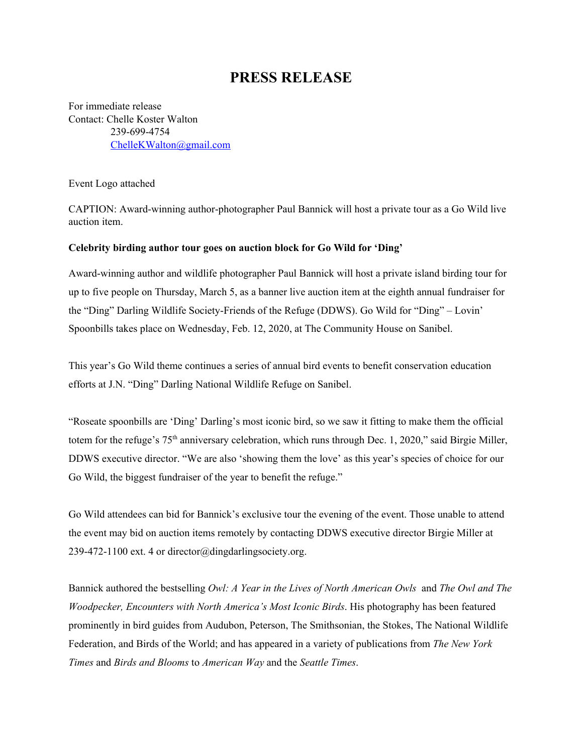## **PRESS RELEASE**

For immediate release Contact: Chelle Koster Walton 239-699-4754 [ChelleKWalton@gmail.com](mailto:ChelleKWalton@gmail.com)

Event Logo attached

CAPTION: Award-winning author-photographer Paul Bannick will host a private tour as a Go Wild live auction item.

## **Celebrity birding author tour goes on auction block for Go Wild for 'Ding'**

Award-winning author and wildlife photographer Paul Bannick will host a private island birding tour for up to five people on Thursday, March 5, as a banner live auction item at the eighth annual fundraiser for the "Ding" Darling Wildlife Society-Friends of the Refuge (DDWS). Go Wild for "Ding" – Lovin' Spoonbills takes place on Wednesday, Feb. 12, 2020, at The Community House on Sanibel.

This year's Go Wild theme continues a series of annual bird events to benefit conservation education efforts at J.N. "Ding" Darling National Wildlife Refuge on Sanibel.

"Roseate spoonbills are 'Ding' Darling's most iconic bird, so we saw it fitting to make them the official totem for the refuge's 75<sup>th</sup> anniversary celebration, which runs through Dec. 1, 2020," said Birgie Miller, DDWS executive director. "We are also 'showing them the love' as this year's species of choice for our Go Wild, the biggest fundraiser of the year to benefit the refuge."

Go Wild attendees can bid for Bannick's exclusive tour the evening of the event. Those unable to attend the event may bid on auction items remotely by contacting DDWS executive director Birgie Miller at 239-472-1100 ext. 4 or director@dingdarlingsociety.org.

Bannick authored the bestselling *Owl: A Year in the Lives of North American Owls* and *The Owl and The Woodpecker, Encounters with North America's Most Iconic Birds*. His photography has been featured prominently in bird guides from Audubon, Peterson, The Smithsonian, the Stokes, The National Wildlife Federation, and Birds of the World; and has appeared in a variety of publications from *The New York Times* and *Birds and Blooms* to *American Way* and the *Seattle Times*.